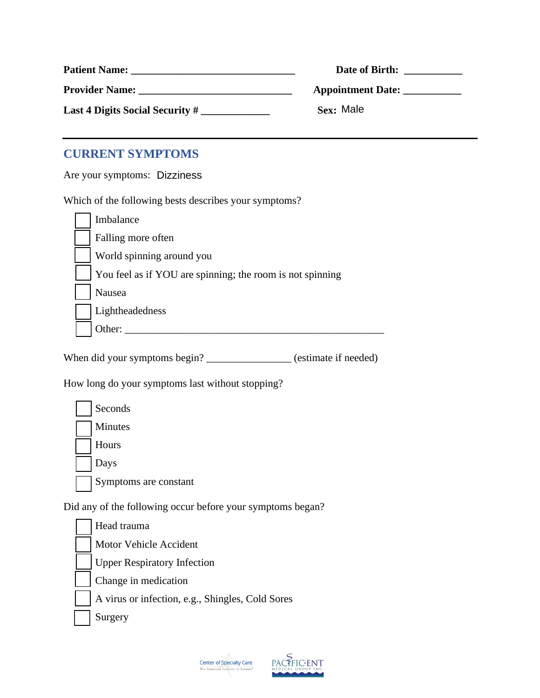| <b>Patient Name:</b>               | Date of Birth:           |
|------------------------------------|--------------------------|
| <b>Provider Name:</b>              | <b>Appointment Date:</b> |
| Last 4 Digits Social Security $\#$ | Sex: Male                |

## **CURRENT SYMPTOMS**

Are your symptoms: Dizziness

Which of the following bests describes your symptoms?

| Imbalance                                                 |
|-----------------------------------------------------------|
| Falling more often                                        |
| World spinning around you                                 |
| You feel as if YOU are spinning; the room is not spinning |
| Nausea                                                    |
| Lightheadedness                                           |
| Ither:                                                    |

When did your symptoms begin? \_\_\_\_\_\_\_\_\_\_\_\_\_\_\_\_ (estimate if needed)

How long do your symptoms last without stopping?

| Seconds               |
|-----------------------|
| Minutes               |
| Hours                 |
| Days                  |
| Symptoms are constant |

Did any of the following occur before your symptoms began?

Head trauma Motor Vehicle Accident **Upper Respiratory Infection** Change in medication A virus or infection, e.g., Shingles, Cold Sores Surgery



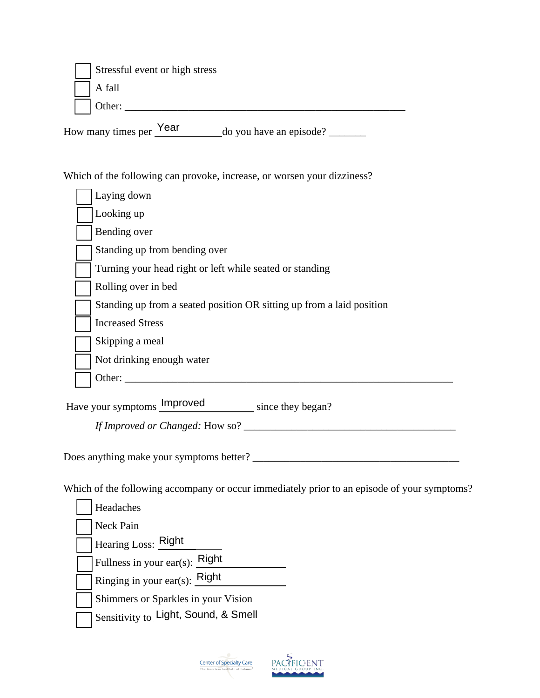| Stressful event or high stress |
|--------------------------------|
| A fall                         |
| Other:                         |

How many times per  $\frac{Year}{2}$  do you have an episode?

Which of the following can provoke, increase, or worsen your dizziness?

| Laying down                                                           |
|-----------------------------------------------------------------------|
| Looking up                                                            |
| Bending over                                                          |
| Standing up from bending over                                         |
| Turning your head right or left while seated or standing              |
| Rolling over in bed                                                   |
| Standing up from a seated position OR sitting up from a laid position |
| <b>Increased Stress</b>                                               |
| Skipping a meal                                                       |
| Not drinking enough water                                             |
| Other:                                                                |

Have your symptoms **Improved** since they began?

*If Improved or Changed:* How so? \_\_\_\_\_\_\_\_\_\_\_\_\_\_\_\_\_\_\_\_\_\_\_\_\_\_\_\_\_\_\_\_\_\_\_\_\_\_\_\_

Does anything make your symptoms better? \_\_\_\_\_\_\_\_\_\_\_\_\_\_\_\_\_\_\_\_\_\_\_\_\_\_\_\_\_\_\_\_\_\_\_\_\_\_\_

Which of the following accompany or occur immediately prior to an episode of your symptoms?

| Headaches                                  |
|--------------------------------------------|
| Neck Pain                                  |
| Hearing Loss: Right                        |
| Right<br>Fullness in your ear(s):          |
| Ringing in your ear(s): $\frac{Right}{\ }$ |
| Shimmers or Sparkles in your Vision        |
| Sensitivity to Light, Sound, & Smell       |



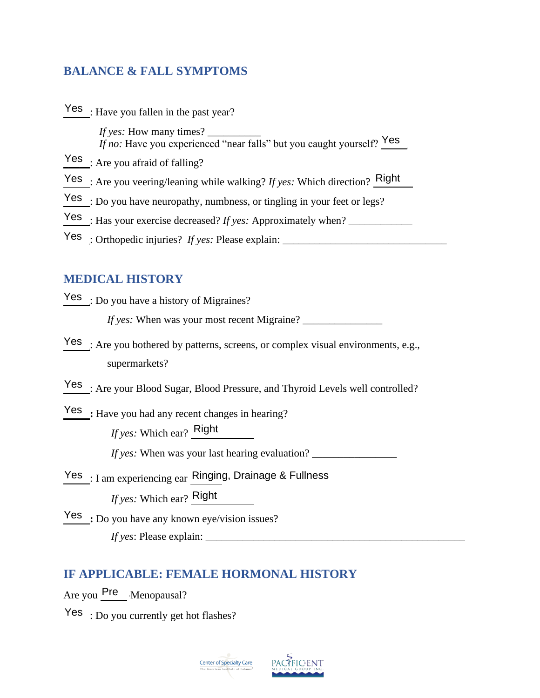## **BALANCE & FALL SYMPTOMS**

| Yes : Have you fallen in the past year?                                      |
|------------------------------------------------------------------------------|
| <i>If no:</i> Have you experienced "near falls" but you caught yourself? Yes |
| $Yes_{\_}$ : Are you afraid of falling?                                      |
| Yes : Are you veering/leaning while walking? If yes: Which direction? Right  |
| $Yes$ : Do you have neuropathy, numbness, or tingling in your feet or legs?  |
| $\text{Yes}_{\_}$ : Has your exercise decreased? If yes: Approximately when? |
| Yes : Orthopedic injuries? If yes: Please explain:                           |

## **MEDICAL HISTORY**

| Yes : Are you veering/leaning while walking? If yes: Which direction? Right                                                            |
|----------------------------------------------------------------------------------------------------------------------------------------|
| Yes : Do you have neuropathy, numbness, or tingling in your feet or legs?                                                              |
| Yes : Has your exercise decreased? If yes: Approximately when?                                                                         |
|                                                                                                                                        |
|                                                                                                                                        |
| <b>MEDICAL HISTORY</b>                                                                                                                 |
| $Yes$ : Do you have a history of Migraines?                                                                                            |
|                                                                                                                                        |
| Yes <sub>_</sub> : Are you bothered by patterns, screens, or complex visual environments, e.g.,<br>supermarkets?                       |
| Yes_: Are your Blood Sugar, Blood Pressure, and Thyroid Levels well controlled?                                                        |
| Yes : Have you had any recent changes in hearing?<br>If yes: Which ear? Right<br><i>If yes:</i> When was your last hearing evaluation? |
| Yes : I am experiencing ear Ringing, Drainage & Fullness<br><i>If yes:</i> Which ear? Right                                            |
| $Yes$ : Do you have any known eye/vision issues?                                                                                       |
| <b>IF APPLICABLE: FEMALE HORMONAL HISTORY</b><br>Are you Pre Menopausal?                                                               |
| $Yes \cdot Do$ you currently get hot flashes?                                                                                          |

## **IF APPLICABLE: FEMALE HORMONAL HISTORY**

Yes : Do you currently get hot flashes?